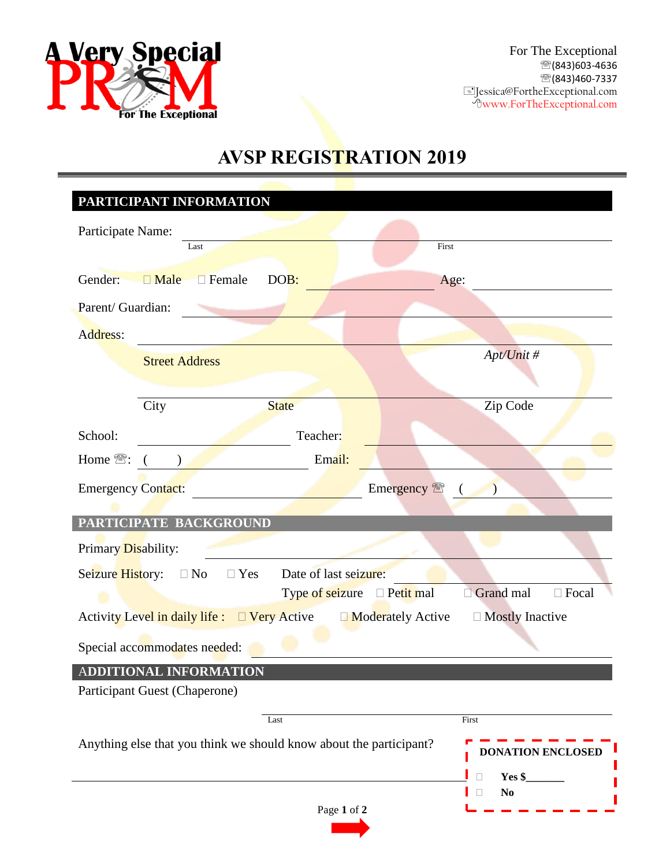

# **AVSP REGISTRATION 2019**

|                                                                                        | PARTICIPANT INFORMATION   |                 |                  |                                    |              |
|----------------------------------------------------------------------------------------|---------------------------|-----------------|------------------|------------------------------------|--------------|
| Participate Name:                                                                      |                           |                 |                  |                                    |              |
|                                                                                        | Last                      |                 | First            |                                    |              |
| Gender:                                                                                | $\Box$ Male $\Box$ Female | DOB:            | Age:             |                                    |              |
|                                                                                        |                           |                 |                  |                                    |              |
| Parent/ Guardian:                                                                      |                           |                 |                  |                                    |              |
| Address:                                                                               |                           |                 |                  |                                    |              |
|                                                                                        | <b>Street Address</b>     |                 |                  | Apt/Unit #                         |              |
|                                                                                        |                           |                 |                  |                                    |              |
|                                                                                        | City                      | <b>State</b>    |                  | Zip Code                           |              |
| School:                                                                                |                           | Teacher:        |                  |                                    |              |
| Home <sup></sup> :                                                                     |                           | Email:          |                  |                                    |              |
| Emergency <sup>®</sup><br><b>Emergency Contact:</b>                                    |                           |                 |                  |                                    |              |
|                                                                                        |                           |                 |                  |                                    |              |
| PARTICIPATE BACKGROUND                                                                 |                           |                 |                  |                                    |              |
| Primary Disability:                                                                    |                           |                 |                  |                                    |              |
| Seizure History:<br>Date of last seizure:<br>$\square$ No<br>$\Box$ Yes                |                           |                 |                  |                                    |              |
|                                                                                        |                           | Type of seizure | $\Box$ Petit mal | Grand mal                          | $\Box$ Focal |
| Activity Level in daily life : □ Very Active<br>□ Mostly Inactive<br>Moderately Active |                           |                 |                  |                                    |              |
| Special accommodates needed:                                                           |                           |                 |                  |                                    |              |
|                                                                                        | ADDITIONAL INFORMATION    |                 |                  |                                    |              |
| Participant Guest (Chaperone)                                                          |                           |                 |                  |                                    |              |
|                                                                                        |                           | Last            |                  | First                              |              |
| Anything else that you think we should know about the participant?                     |                           |                 |                  |                                    |              |
|                                                                                        |                           |                 |                  | <b>DONATION ENCLOSED</b>           |              |
|                                                                                        |                           |                 |                  |                                    |              |
|                                                                                        |                           |                 |                  | Yes \$<br>П<br>N <sub>0</sub><br>П |              |